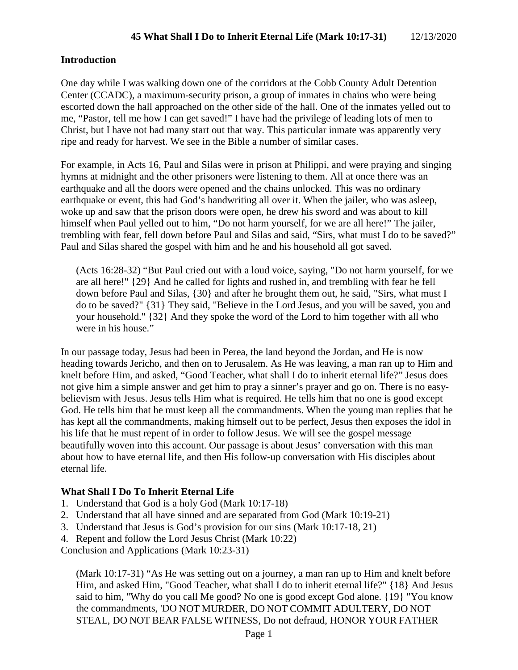#### **Introduction**

One day while I was walking down one of the corridors at the Cobb County Adult Detention Center (CCADC), a maximum-security prison, a group of inmates in chains who were being escorted down the hall approached on the other side of the hall. One of the inmates yelled out to me, "Pastor, tell me how I can get saved!" I have had the privilege of leading lots of men to Christ, but I have not had many start out that way. This particular inmate was apparently very ripe and ready for harvest. We see in the Bible a number of similar cases.

For example, in Acts 16, Paul and Silas were in prison at Philippi, and were praying and singing hymns at midnight and the other prisoners were listening to them. All at once there was an earthquake and all the doors were opened and the chains unlocked. This was no ordinary earthquake or event, this had God's handwriting all over it. When the jailer, who was asleep, woke up and saw that the prison doors were open, he drew his sword and was about to kill himself when Paul yelled out to him, "Do not harm yourself, for we are all here!" The jailer, trembling with fear, fell down before Paul and Silas and said, "Sirs, what must I do to be saved?" Paul and Silas shared the gospel with him and he and his household all got saved.

(Acts 16:28-32) "But Paul cried out with a loud voice, saying, "Do not harm yourself, for we are all here!" {29} And he called for lights and rushed in, and trembling with fear he fell down before Paul and Silas, {30} and after he brought them out, he said, "Sirs, what must I do to be saved?" {31} They said, "Believe in the Lord Jesus, and you will be saved, you and your household." {32} And they spoke the word of the Lord to him together with all who were in his house."

In our passage today, Jesus had been in Perea, the land beyond the Jordan, and He is now heading towards Jericho, and then on to Jerusalem. As He was leaving, a man ran up to Him and knelt before Him, and asked, "Good Teacher, what shall I do to inherit eternal life?" Jesus does not give him a simple answer and get him to pray a sinner's prayer and go on. There is no easybelievism with Jesus. Jesus tells Him what is required. He tells him that no one is good except God. He tells him that he must keep all the commandments. When the young man replies that he has kept all the commandments, making himself out to be perfect, Jesus then exposes the idol in his life that he must repent of in order to follow Jesus. We will see the gospel message beautifully woven into this account. Our passage is about Jesus' conversation with this man about how to have eternal life, and then His follow-up conversation with His disciples about eternal life.

### **What Shall I Do To Inherit Eternal Life**

- 1. Understand that God is a holy God (Mark 10:17-18)
- 2. Understand that all have sinned and are separated from God (Mark 10:19-21)
- 3. Understand that Jesus is God's provision for our sins (Mark 10:17-18, 21)
- 4. Repent and follow the Lord Jesus Christ (Mark 10:22)

Conclusion and Applications (Mark 10:23-31)

(Mark 10:17-31) "As He was setting out on a journey, a man ran up to Him and knelt before Him, and asked Him, "Good Teacher, what shall I do to inherit eternal life?" {18} And Jesus said to him, "Why do you call Me good? No one is good except God alone. {19} "You know the commandments, 'DO NOT MURDER, DO NOT COMMIT ADULTERY, DO NOT STEAL, DO NOT BEAR FALSE WITNESS, Do not defraud, HONOR YOUR FATHER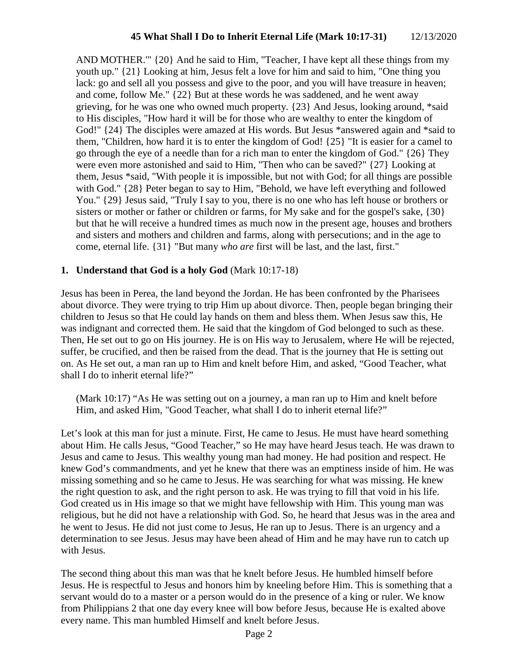AND MOTHER.'" {20} And he said to Him, "Teacher, I have kept all these things from my youth up." {21} Looking at him, Jesus felt a love for him and said to him, "One thing you lack: go and sell all you possess and give to the poor, and you will have treasure in heaven; and come, follow Me." {22} But at these words he was saddened, and he went away grieving, for he was one who owned much property. {23} And Jesus, looking around, \*said to His disciples, "How hard it will be for those who are wealthy to enter the kingdom of God!" {24} The disciples were amazed at His words. But Jesus \*answered again and \*said to them, "Children, how hard it is to enter the kingdom of God! {25} "It is easier for a camel to go through the eye of a needle than for a rich man to enter the kingdom of God." {26} They were even more astonished and said to Him, "Then who can be saved?" {27} Looking at them, Jesus \*said, "With people it is impossible, but not with God; for all things are possible with God." {28} Peter began to say to Him, "Behold, we have left everything and followed You." {29} Jesus said, "Truly I say to you, there is no one who has left house or brothers or sisters or mother or father or children or farms, for My sake and for the gospel's sake, {30} but that he will receive a hundred times as much now in the present age, houses and brothers and sisters and mothers and children and farms, along with persecutions; and in the age to come, eternal life. {31} "But many *who are* first will be last, and the last, first."

### **1. Understand that God is a holy God** (Mark 10:17-18)

Jesus has been in Perea, the land beyond the Jordan. He has been confronted by the Pharisees about divorce. They were trying to trip Him up about divorce. Then, people began bringing their children to Jesus so that He could lay hands on them and bless them. When Jesus saw this, He was indignant and corrected them. He said that the kingdom of God belonged to such as these. Then, He set out to go on His journey. He is on His way to Jerusalem, where He will be rejected, suffer, be crucified, and then be raised from the dead. That is the journey that He is setting out on. As He set out, a man ran up to Him and knelt before Him, and asked, "Good Teacher, what shall I do to inherit eternal life?"

(Mark 10:17) "As He was setting out on a journey, a man ran up to Him and knelt before Him, and asked Him, "Good Teacher, what shall I do to inherit eternal life?"

Let's look at this man for just a minute. First, He came to Jesus. He must have heard something about Him. He calls Jesus, "Good Teacher," so He may have heard Jesus teach. He was drawn to Jesus and came to Jesus. This wealthy young man had money. He had position and respect. He knew God's commandments, and yet he knew that there was an emptiness inside of him. He was missing something and so he came to Jesus. He was searching for what was missing. He knew the right question to ask, and the right person to ask. He was trying to fill that void in his life. God created us in His image so that we might have fellowship with Him. This young man was religious, but he did not have a relationship with God. So, he heard that Jesus was in the area and he went to Jesus. He did not just come to Jesus, He ran up to Jesus. There is an urgency and a determination to see Jesus. Jesus may have been ahead of Him and he may have run to catch up with Jesus.

The second thing about this man was that he knelt before Jesus. He humbled himself before Jesus. He is respectful to Jesus and honors him by kneeling before Him. This is something that a servant would do to a master or a person would do in the presence of a king or ruler. We know from Philippians 2 that one day every knee will bow before Jesus, because He is exalted above every name. This man humbled Himself and knelt before Jesus.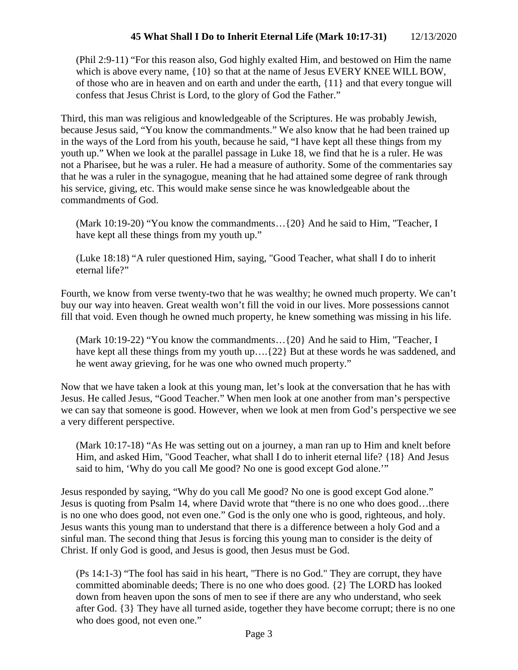(Phil 2:9-11) "For this reason also, God highly exalted Him, and bestowed on Him the name which is above every name,  ${10}$  so that at the name of Jesus EVERY KNEE WILL BOW, of those who are in heaven and on earth and under the earth, {11} and that every tongue will confess that Jesus Christ is Lord, to the glory of God the Father."

Third, this man was religious and knowledgeable of the Scriptures. He was probably Jewish, because Jesus said, "You know the commandments." We also know that he had been trained up in the ways of the Lord from his youth, because he said, "I have kept all these things from my youth up." When we look at the parallel passage in Luke 18, we find that he is a ruler. He was not a Pharisee, but he was a ruler. He had a measure of authority. Some of the commentaries say that he was a ruler in the synagogue, meaning that he had attained some degree of rank through his service, giving, etc. This would make sense since he was knowledgeable about the commandments of God.

(Mark 10:19-20) "You know the commandments…{20} And he said to Him, "Teacher, I have kept all these things from my youth up."

(Luke 18:18) "A ruler questioned Him, saying, "Good Teacher, what shall I do to inherit eternal life?"

Fourth, we know from verse twenty-two that he was wealthy; he owned much property. We can't buy our way into heaven. Great wealth won't fill the void in our lives. More possessions cannot fill that void. Even though he owned much property, he knew something was missing in his life.

(Mark 10:19-22) "You know the commandments…{20} And he said to Him, "Teacher, I have kept all these things from my youth up.... $\{22\}$  But at these words he was saddened, and he went away grieving, for he was one who owned much property."

Now that we have taken a look at this young man, let's look at the conversation that he has with Jesus. He called Jesus, "Good Teacher." When men look at one another from man's perspective we can say that someone is good. However, when we look at men from God's perspective we see a very different perspective.

(Mark 10:17-18) "As He was setting out on a journey, a man ran up to Him and knelt before Him, and asked Him, "Good Teacher, what shall I do to inherit eternal life? {18} And Jesus said to him, 'Why do you call Me good? No one is good except God alone.'"

Jesus responded by saying, "Why do you call Me good? No one is good except God alone." Jesus is quoting from Psalm 14, where David wrote that "there is no one who does good…there is no one who does good, not even one." God is the only one who is good, righteous, and holy. Jesus wants this young man to understand that there is a difference between a holy God and a sinful man. The second thing that Jesus is forcing this young man to consider is the deity of Christ. If only God is good, and Jesus is good, then Jesus must be God.

(Ps 14:1-3) "The fool has said in his heart, "There is no God." They are corrupt, they have committed abominable deeds; There is no one who does good. {2} The LORD has looked down from heaven upon the sons of men to see if there are any who understand, who seek after God. {3} They have all turned aside, together they have become corrupt; there is no one who does good, not even one."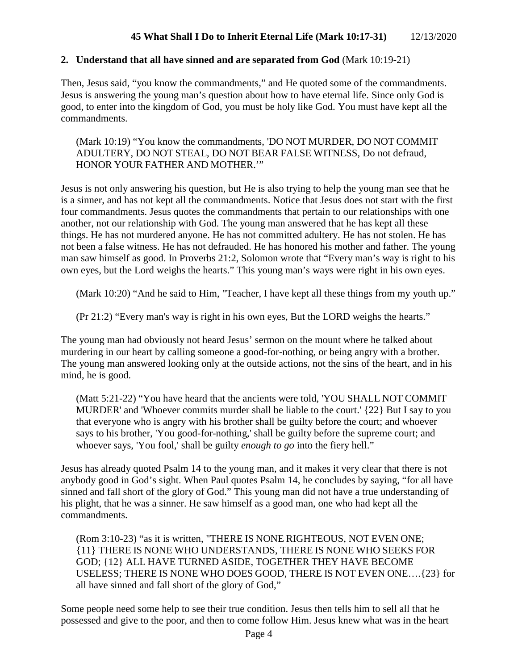### **2. Understand that all have sinned and are separated from God** (Mark 10:19-21)

Then, Jesus said, "you know the commandments," and He quoted some of the commandments. Jesus is answering the young man's question about how to have eternal life. Since only God is good, to enter into the kingdom of God, you must be holy like God. You must have kept all the commandments.

(Mark 10:19) "You know the commandments, 'DO NOT MURDER, DO NOT COMMIT ADULTERY, DO NOT STEAL, DO NOT BEAR FALSE WITNESS, Do not defraud, HONOR YOUR FATHER AND MOTHER.'"

Jesus is not only answering his question, but He is also trying to help the young man see that he is a sinner, and has not kept all the commandments. Notice that Jesus does not start with the first four commandments. Jesus quotes the commandments that pertain to our relationships with one another, not our relationship with God. The young man answered that he has kept all these things. He has not murdered anyone. He has not committed adultery. He has not stolen. He has not been a false witness. He has not defrauded. He has honored his mother and father. The young man saw himself as good. In Proverbs 21:2, Solomon wrote that "Every man's way is right to his own eyes, but the Lord weighs the hearts." This young man's ways were right in his own eyes.

(Mark 10:20) "And he said to Him, "Teacher, I have kept all these things from my youth up."

(Pr 21:2) "Every man's way is right in his own eyes, But the LORD weighs the hearts."

The young man had obviously not heard Jesus' sermon on the mount where he talked about murdering in our heart by calling someone a good-for-nothing, or being angry with a brother. The young man answered looking only at the outside actions, not the sins of the heart, and in his mind, he is good.

(Matt 5:21-22) "You have heard that the ancients were told, 'YOU SHALL NOT COMMIT MURDER' and 'Whoever commits murder shall be liable to the court.' {22} But I say to you that everyone who is angry with his brother shall be guilty before the court; and whoever says to his brother, 'You good-for-nothing,' shall be guilty before the supreme court; and whoever says, 'You fool,' shall be guilty *enough to go* into the fiery hell."

Jesus has already quoted Psalm 14 to the young man, and it makes it very clear that there is not anybody good in God's sight. When Paul quotes Psalm 14, he concludes by saying, "for all have sinned and fall short of the glory of God." This young man did not have a true understanding of his plight, that he was a sinner. He saw himself as a good man, one who had kept all the commandments.

(Rom 3:10-23) "as it is written, "THERE IS NONE RIGHTEOUS, NOT EVEN ONE; {11} THERE IS NONE WHO UNDERSTANDS, THERE IS NONE WHO SEEKS FOR GOD; {12} ALL HAVE TURNED ASIDE, TOGETHER THEY HAVE BECOME USELESS; THERE IS NONE WHO DOES GOOD, THERE IS NOT EVEN ONE….{23} for all have sinned and fall short of the glory of God,"

Some people need some help to see their true condition. Jesus then tells him to sell all that he possessed and give to the poor, and then to come follow Him. Jesus knew what was in the heart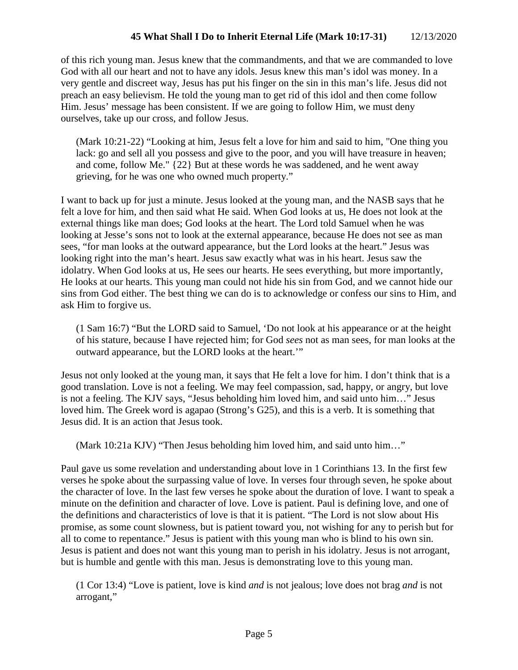# **45 What Shall I Do to Inherit Eternal Life (Mark 10:17-31)** 12/13/2020

of this rich young man. Jesus knew that the commandments, and that we are commanded to love God with all our heart and not to have any idols. Jesus knew this man's idol was money. In a very gentle and discreet way, Jesus has put his finger on the sin in this man's life. Jesus did not preach an easy believism. He told the young man to get rid of this idol and then come follow Him. Jesus' message has been consistent. If we are going to follow Him, we must deny ourselves, take up our cross, and follow Jesus.

(Mark 10:21-22) "Looking at him, Jesus felt a love for him and said to him, "One thing you lack: go and sell all you possess and give to the poor, and you will have treasure in heaven; and come, follow Me." {22} But at these words he was saddened, and he went away grieving, for he was one who owned much property."

I want to back up for just a minute. Jesus looked at the young man, and the NASB says that he felt a love for him, and then said what He said. When God looks at us, He does not look at the external things like man does; God looks at the heart. The Lord told Samuel when he was looking at Jesse's sons not to look at the external appearance, because He does not see as man sees, "for man looks at the outward appearance, but the Lord looks at the heart." Jesus was looking right into the man's heart. Jesus saw exactly what was in his heart. Jesus saw the idolatry. When God looks at us, He sees our hearts. He sees everything, but more importantly, He looks at our hearts. This young man could not hide his sin from God, and we cannot hide our sins from God either. The best thing we can do is to acknowledge or confess our sins to Him, and ask Him to forgive us.

(1 Sam 16:7) "But the LORD said to Samuel, 'Do not look at his appearance or at the height of his stature, because I have rejected him; for God *sees* not as man sees, for man looks at the outward appearance, but the LORD looks at the heart.'"

Jesus not only looked at the young man, it says that He felt a love for him. I don't think that is a good translation. Love is not a feeling. We may feel compassion, sad, happy, or angry, but love is not a feeling. The KJV says, "Jesus beholding him loved him, and said unto him…" Jesus loved him. The Greek word is agapao (Strong's G25), and this is a verb. It is something that Jesus did. It is an action that Jesus took.

(Mark 10:21a KJV) "Then Jesus beholding him loved him, and said unto him…"

Paul gave us some revelation and understanding about love in 1 Corinthians 13. In the first few verses he spoke about the surpassing value of love. In verses four through seven, he spoke about the character of love. In the last few verses he spoke about the duration of love. I want to speak a minute on the definition and character of love. Love is patient. Paul is defining love, and one of the definitions and characteristics of love is that it is patient. "The Lord is not slow about His promise, as some count slowness, but is patient toward you, not wishing for any to perish but for all to come to repentance." Jesus is patient with this young man who is blind to his own sin. Jesus is patient and does not want this young man to perish in his idolatry. Jesus is not arrogant, but is humble and gentle with this man. Jesus is demonstrating love to this young man.

(1 Cor 13:4) "Love is patient, love is kind *and* is not jealous; love does not brag *and* is not arrogant,"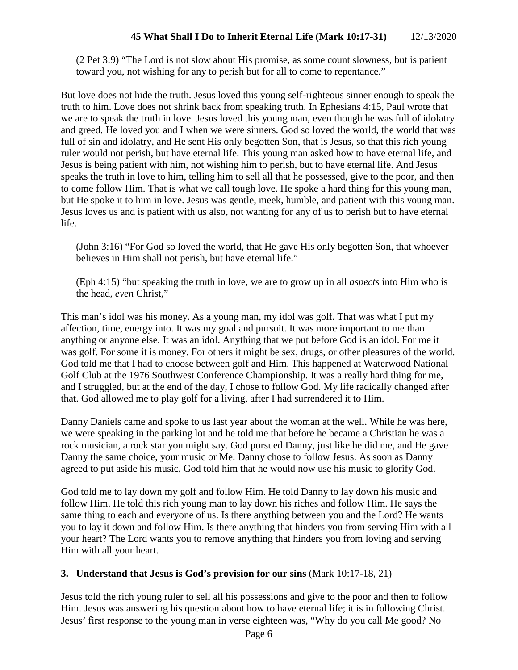(2 Pet 3:9) "The Lord is not slow about His promise, as some count slowness, but is patient toward you, not wishing for any to perish but for all to come to repentance."

But love does not hide the truth. Jesus loved this young self-righteous sinner enough to speak the truth to him. Love does not shrink back from speaking truth. In Ephesians 4:15, Paul wrote that we are to speak the truth in love. Jesus loved this young man, even though he was full of idolatry and greed. He loved you and I when we were sinners. God so loved the world, the world that was full of sin and idolatry, and He sent His only begotten Son, that is Jesus, so that this rich young ruler would not perish, but have eternal life. This young man asked how to have eternal life, and Jesus is being patient with him, not wishing him to perish, but to have eternal life. And Jesus speaks the truth in love to him, telling him to sell all that he possessed, give to the poor, and then to come follow Him. That is what we call tough love. He spoke a hard thing for this young man, but He spoke it to him in love. Jesus was gentle, meek, humble, and patient with this young man. Jesus loves us and is patient with us also, not wanting for any of us to perish but to have eternal life.

(John 3:16) "For God so loved the world, that He gave His only begotten Son, that whoever believes in Him shall not perish, but have eternal life."

(Eph 4:15) "but speaking the truth in love, we are to grow up in all *aspects* into Him who is the head, *even* Christ,"

This man's idol was his money. As a young man, my idol was golf. That was what I put my affection, time, energy into. It was my goal and pursuit. It was more important to me than anything or anyone else. It was an idol. Anything that we put before God is an idol. For me it was golf. For some it is money. For others it might be sex, drugs, or other pleasures of the world. God told me that I had to choose between golf and Him. This happened at Waterwood National Golf Club at the 1976 Southwest Conference Championship. It was a really hard thing for me, and I struggled, but at the end of the day, I chose to follow God. My life radically changed after that. God allowed me to play golf for a living, after I had surrendered it to Him.

Danny Daniels came and spoke to us last year about the woman at the well. While he was here, we were speaking in the parking lot and he told me that before he became a Christian he was a rock musician, a rock star you might say. God pursued Danny, just like he did me, and He gave Danny the same choice, your music or Me. Danny chose to follow Jesus. As soon as Danny agreed to put aside his music, God told him that he would now use his music to glorify God.

God told me to lay down my golf and follow Him. He told Danny to lay down his music and follow Him. He told this rich young man to lay down his riches and follow Him. He says the same thing to each and everyone of us. Is there anything between you and the Lord? He wants you to lay it down and follow Him. Is there anything that hinders you from serving Him with all your heart? The Lord wants you to remove anything that hinders you from loving and serving Him with all your heart.

### **3. Understand that Jesus is God's provision for our sins** (Mark 10:17-18, 21)

Jesus told the rich young ruler to sell all his possessions and give to the poor and then to follow Him. Jesus was answering his question about how to have eternal life; it is in following Christ. Jesus' first response to the young man in verse eighteen was, "Why do you call Me good? No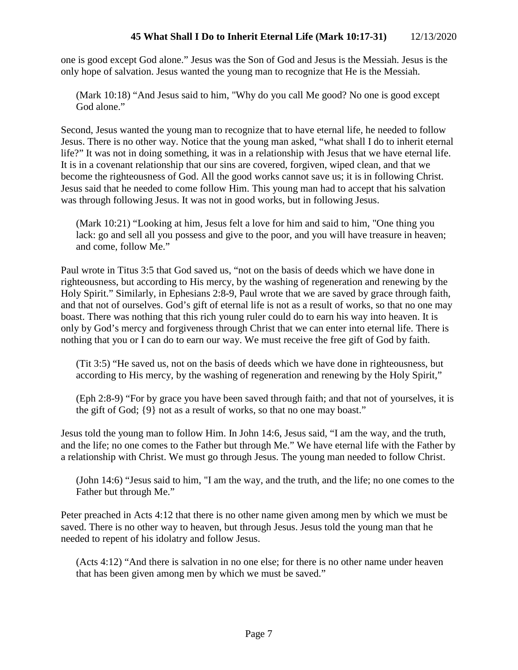## **45 What Shall I Do to Inherit Eternal Life (Mark 10:17-31)** 12/13/2020

one is good except God alone." Jesus was the Son of God and Jesus is the Messiah. Jesus is the only hope of salvation. Jesus wanted the young man to recognize that He is the Messiah.

(Mark 10:18) "And Jesus said to him, "Why do you call Me good? No one is good except God alone."

Second, Jesus wanted the young man to recognize that to have eternal life, he needed to follow Jesus. There is no other way. Notice that the young man asked, "what shall I do to inherit eternal life?" It was not in doing something, it was in a relationship with Jesus that we have eternal life. It is in a covenant relationship that our sins are covered, forgiven, wiped clean, and that we become the righteousness of God. All the good works cannot save us; it is in following Christ. Jesus said that he needed to come follow Him. This young man had to accept that his salvation was through following Jesus. It was not in good works, but in following Jesus.

(Mark 10:21) "Looking at him, Jesus felt a love for him and said to him, "One thing you lack: go and sell all you possess and give to the poor, and you will have treasure in heaven; and come, follow Me."

Paul wrote in Titus 3:5 that God saved us, "not on the basis of deeds which we have done in righteousness, but according to His mercy, by the washing of regeneration and renewing by the Holy Spirit." Similarly, in Ephesians 2:8-9, Paul wrote that we are saved by grace through faith, and that not of ourselves. God's gift of eternal life is not as a result of works, so that no one may boast. There was nothing that this rich young ruler could do to earn his way into heaven. It is only by God's mercy and forgiveness through Christ that we can enter into eternal life. There is nothing that you or I can do to earn our way. We must receive the free gift of God by faith.

(Tit 3:5) "He saved us, not on the basis of deeds which we have done in righteousness, but according to His mercy, by the washing of regeneration and renewing by the Holy Spirit,"

(Eph 2:8-9) "For by grace you have been saved through faith; and that not of yourselves, it is the gift of God; {9} not as a result of works, so that no one may boast."

Jesus told the young man to follow Him. In John 14:6, Jesus said, "I am the way, and the truth, and the life; no one comes to the Father but through Me." We have eternal life with the Father by a relationship with Christ. We must go through Jesus. The young man needed to follow Christ.

(John 14:6) "Jesus said to him, "I am the way, and the truth, and the life; no one comes to the Father but through Me."

Peter preached in Acts 4:12 that there is no other name given among men by which we must be saved. There is no other way to heaven, but through Jesus. Jesus told the young man that he needed to repent of his idolatry and follow Jesus.

(Acts 4:12) "And there is salvation in no one else; for there is no other name under heaven that has been given among men by which we must be saved."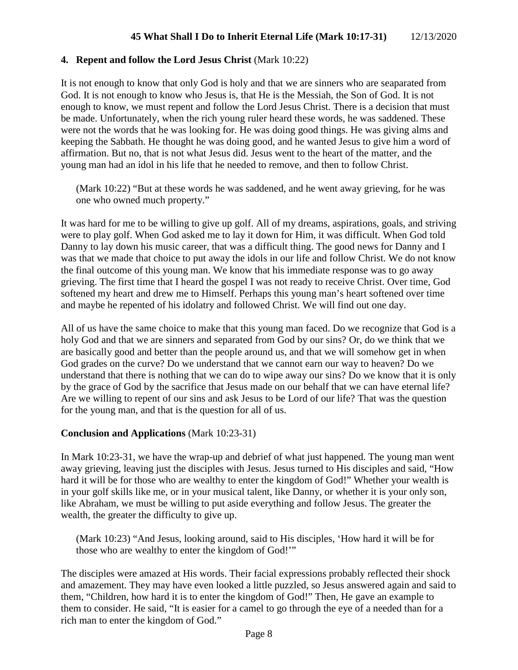## **4. Repent and follow the Lord Jesus Christ** (Mark 10:22)

It is not enough to know that only God is holy and that we are sinners who are seaparated from God. It is not enough to know who Jesus is, that He is the Messiah, the Son of God. It is not enough to know, we must repent and follow the Lord Jesus Christ. There is a decision that must be made. Unfortunately, when the rich young ruler heard these words, he was saddened. These were not the words that he was looking for. He was doing good things. He was giving alms and keeping the Sabbath. He thought he was doing good, and he wanted Jesus to give him a word of affirmation. But no, that is not what Jesus did. Jesus went to the heart of the matter, and the young man had an idol in his life that he needed to remove, and then to follow Christ.

(Mark 10:22) "But at these words he was saddened, and he went away grieving, for he was one who owned much property."

It was hard for me to be willing to give up golf. All of my dreams, aspirations, goals, and striving were to play golf. When God asked me to lay it down for Him, it was difficult. When God told Danny to lay down his music career, that was a difficult thing. The good news for Danny and I was that we made that choice to put away the idols in our life and follow Christ. We do not know the final outcome of this young man. We know that his immediate response was to go away grieving. The first time that I heard the gospel I was not ready to receive Christ. Over time, God softened my heart and drew me to Himself. Perhaps this young man's heart softened over time and maybe he repented of his idolatry and followed Christ. We will find out one day.

All of us have the same choice to make that this young man faced. Do we recognize that God is a holy God and that we are sinners and separated from God by our sins? Or, do we think that we are basically good and better than the people around us, and that we will somehow get in when God grades on the curve? Do we understand that we cannot earn our way to heaven? Do we understand that there is nothing that we can do to wipe away our sins? Do we know that it is only by the grace of God by the sacrifice that Jesus made on our behalf that we can have eternal life? Are we willing to repent of our sins and ask Jesus to be Lord of our life? That was the question for the young man, and that is the question for all of us.

### **Conclusion and Applications** (Mark 10:23-31)

In Mark 10:23-31, we have the wrap-up and debrief of what just happened. The young man went away grieving, leaving just the disciples with Jesus. Jesus turned to His disciples and said, "How hard it will be for those who are wealthy to enter the kingdom of God!" Whether your wealth is in your golf skills like me, or in your musical talent, like Danny, or whether it is your only son, like Abraham, we must be willing to put aside everything and follow Jesus. The greater the wealth, the greater the difficulty to give up.

(Mark 10:23) "And Jesus, looking around, said to His disciples, 'How hard it will be for those who are wealthy to enter the kingdom of God!'"

The disciples were amazed at His words. Their facial expressions probably reflected their shock and amazement. They may have even looked a little puzzled, so Jesus answered again and said to them, "Children, how hard it is to enter the kingdom of God!" Then, He gave an example to them to consider. He said, "It is easier for a camel to go through the eye of a needed than for a rich man to enter the kingdom of God."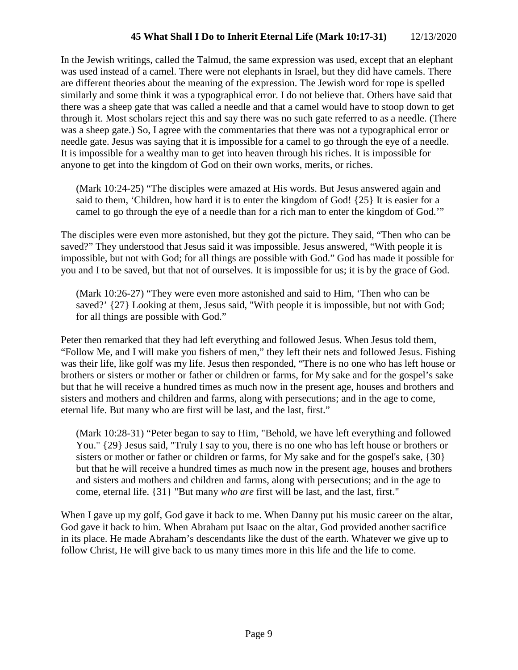In the Jewish writings, called the Talmud, the same expression was used, except that an elephant was used instead of a camel. There were not elephants in Israel, but they did have camels. There are different theories about the meaning of the expression. The Jewish word for rope is spelled similarly and some think it was a typographical error. I do not believe that. Others have said that there was a sheep gate that was called a needle and that a camel would have to stoop down to get through it. Most scholars reject this and say there was no such gate referred to as a needle. (There was a sheep gate.) So, I agree with the commentaries that there was not a typographical error or needle gate. Jesus was saying that it is impossible for a camel to go through the eye of a needle. It is impossible for a wealthy man to get into heaven through his riches. It is impossible for anyone to get into the kingdom of God on their own works, merits, or riches.

(Mark 10:24-25) "The disciples were amazed at His words. But Jesus answered again and said to them, 'Children, how hard it is to enter the kingdom of God! {25} It is easier for a camel to go through the eye of a needle than for a rich man to enter the kingdom of God.'"

The disciples were even more astonished, but they got the picture. They said, "Then who can be saved?" They understood that Jesus said it was impossible. Jesus answered, "With people it is impossible, but not with God; for all things are possible with God." God has made it possible for you and I to be saved, but that not of ourselves. It is impossible for us; it is by the grace of God.

(Mark 10:26-27) "They were even more astonished and said to Him, 'Then who can be saved?'  $\{27\}$  Looking at them, Jesus said, "With people it is impossible, but not with God; for all things are possible with God."

Peter then remarked that they had left everything and followed Jesus. When Jesus told them, "Follow Me, and I will make you fishers of men," they left their nets and followed Jesus. Fishing was their life, like golf was my life. Jesus then responded, "There is no one who has left house or brothers or sisters or mother or father or children or farms, for My sake and for the gospel's sake but that he will receive a hundred times as much now in the present age, houses and brothers and sisters and mothers and children and farms, along with persecutions; and in the age to come, eternal life. But many who are first will be last, and the last, first."

(Mark 10:28-31) "Peter began to say to Him, "Behold, we have left everything and followed You." {29} Jesus said, "Truly I say to you, there is no one who has left house or brothers or sisters or mother or father or children or farms, for My sake and for the gospel's sake, {30} but that he will receive a hundred times as much now in the present age, houses and brothers and sisters and mothers and children and farms, along with persecutions; and in the age to come, eternal life. {31} "But many *who are* first will be last, and the last, first."

When I gave up my golf, God gave it back to me. When Danny put his music career on the altar, God gave it back to him. When Abraham put Isaac on the altar, God provided another sacrifice in its place. He made Abraham's descendants like the dust of the earth. Whatever we give up to follow Christ, He will give back to us many times more in this life and the life to come.